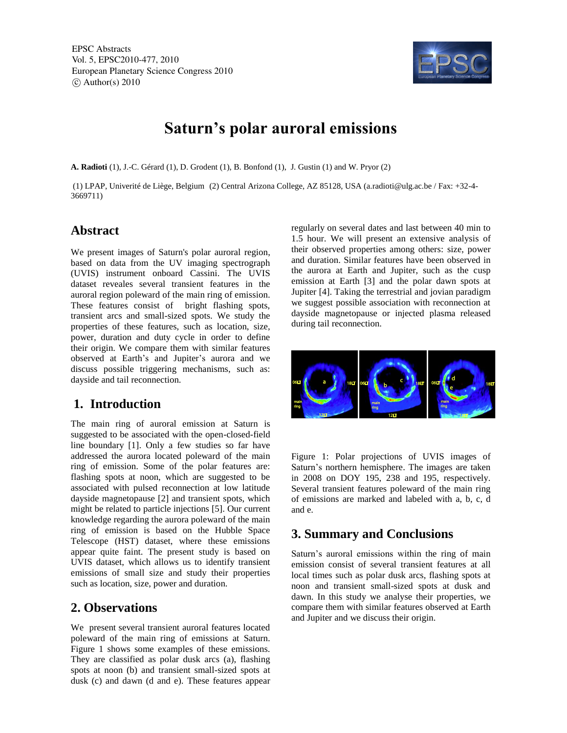EPSC Abstracts Vol. 5, EPSC2010-477, 2010 European Planetary Science Congress 2010  $\circ$  Author(s) 2010



# **Saturn's polar auroral emissions**

**A. Radioti** (1), J.-C. Gérard (1), D. Grodent (1), B. Bonfond (1), J. Gustin (1) and W. Pryor (2)

(1) LPAP, Univerité de Liège, Belgium (2) Central Arizona College, AZ 85128, USA (a.radioti@ulg.ac.be / Fax: +32-4- 3669711)

#### **Abstract**

We present images of Saturn's polar auroral region, based on data from the UV imaging spectrograph (UVIS) instrument onboard Cassini. The UVIS dataset reveales several transient features in the auroral region poleward of the main ring of emission. These features consist of bright flashing spots, transient arcs and small-sized spots. We study the properties of these features, such as location, size, power, duration and duty cycle in order to define their origin. We compare them with similar features observed at Earth's and Jupiter's aurora and we discuss possible triggering mechanisms, such as: dayside and tail reconnection.

### **1. Introduction**

The main ring of auroral emission at Saturn is suggested to be associated with the open-closed-field line boundary [1]. Only a few studies so far have addressed the aurora located poleward of the main ring of emission. Some of the polar features are: flashing spots at noon, which are suggested to be associated with pulsed reconnection at low latitude dayside magnetopause [2] and transient spots, which might be related to particle injections [5]. Our current knowledge regarding the aurora poleward of the main ring of emission is based on the Hubble Space Telescope (HST) dataset, where these emissions appear quite faint. The present study is based on UVIS dataset, which allows us to identify transient emissions of small size and study their properties such as location, size, power and duration.

#### **2. Observations**

We present several transient auroral features located poleward of the main ring of emissions at Saturn. Figure 1 shows some examples of these emissions. They are classified as polar dusk arcs (a), flashing spots at noon (b) and transient small-sized spots at dusk (c) and dawn (d and e). These features appear regularly on several dates and last between 40 min to 1.5 hour. We will present an extensive analysis of their observed properties among others: size, power and duration. Similar features have been observed in the aurora at Earth and Jupiter, such as the cusp emission at Earth [3] and the polar dawn spots at Jupiter [4]. Taking the terrestrial and jovian paradigm we suggest possible association with reconnection at dayside magnetopause or injected plasma released during tail reconnection.



Figure 1: Polar projections of UVIS images of Saturn's northern hemisphere. The images are taken in 2008 on DOY 195, 238 and 195, respectively. Several transient features poleward of the main ring of emissions are marked and labeled with a, b, c, d and e.

## **3. Summary and Conclusions**

Saturn's auroral emissions within the ring of main emission consist of several transient features at all local times such as polar dusk arcs, flashing spots at noon and transient small-sized spots at dusk and dawn. In this study we analyse their properties, we compare them with similar features observed at Earth and Jupiter and we discuss their origin.